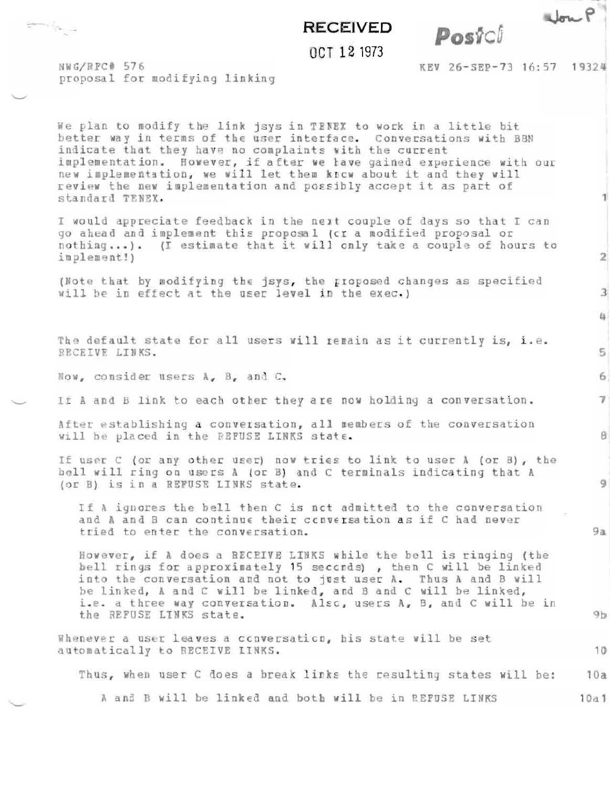## **RECEIVED**

OCT 12 1973

Postci

NWG/RFC# 576 proposal for modifying linking

taren 27a - A

KEV 26-SEP-73 16:57 19324

Non P

1

 $\mathbf{2}$ 

з

 $\alpha$ 

 $5$ 

6

 $7<sup>1</sup>$ 

 $B$ 

 $\mathbf{q}$ 

 $9a$ 

10

We plan to modify the link jsys in TENEX to work in a little bit better way in terms of the user interface. Conversations with BBN indicate that they have no complaints with the current implementation. However, if after we have gained experience with our<br>new implementation, we will let them know about it and they will review the new implementation and possibly accept it as part of standard TENEX.

I would appreciate feedback in the next couple of days so that I can go ahead and implement this proposal (cr a modified proposal or nothing...). (I estimate that it will only take a couple of hours to implement!)

(Note that by modifying the jsys, the rioposed changes as specified will be in effect at the user level in the exec.)

The default state for all users will remain as it currently is, i.e. RECEIVE LINKS.

Now, consider users A, B, and C.

If A and B link to each other they are now holding a conversation.

After establishing a conversation, all members of the conversation Will be placed in the REFUSE LINKS state.

If user C (or any other user) now tries to link to user A (or B), the bell will ring on users A (or B) and C terminals indicating that A (or B) is in a REFUSE LINKS state.

If A ignores the hell then C is not admitted to the conversation and A and B can continue their conversation as if C had never tried to enter the conversation.

However, if a does a RECEIVE LINKS while the bell is ringing (the bell rings for approximately 15 seconds), then C will be linked into the conversation and not to just user A. Thus A and B will be linked, A and C will be linked, and B and C will be linked, i.e. a three way conversation. Also, users A, B, and C will be in the REFUSE LINKS state.  $9<sub>b</sub>$ 

Whenever a user leaves a conversation, his state will be set automatically to RECEIVE LINKS.

Thus, when user C does a break links the resulting states will be:  $10a$ 

A and B will be linked and both will be in REFUSE LINKS  $10a1$